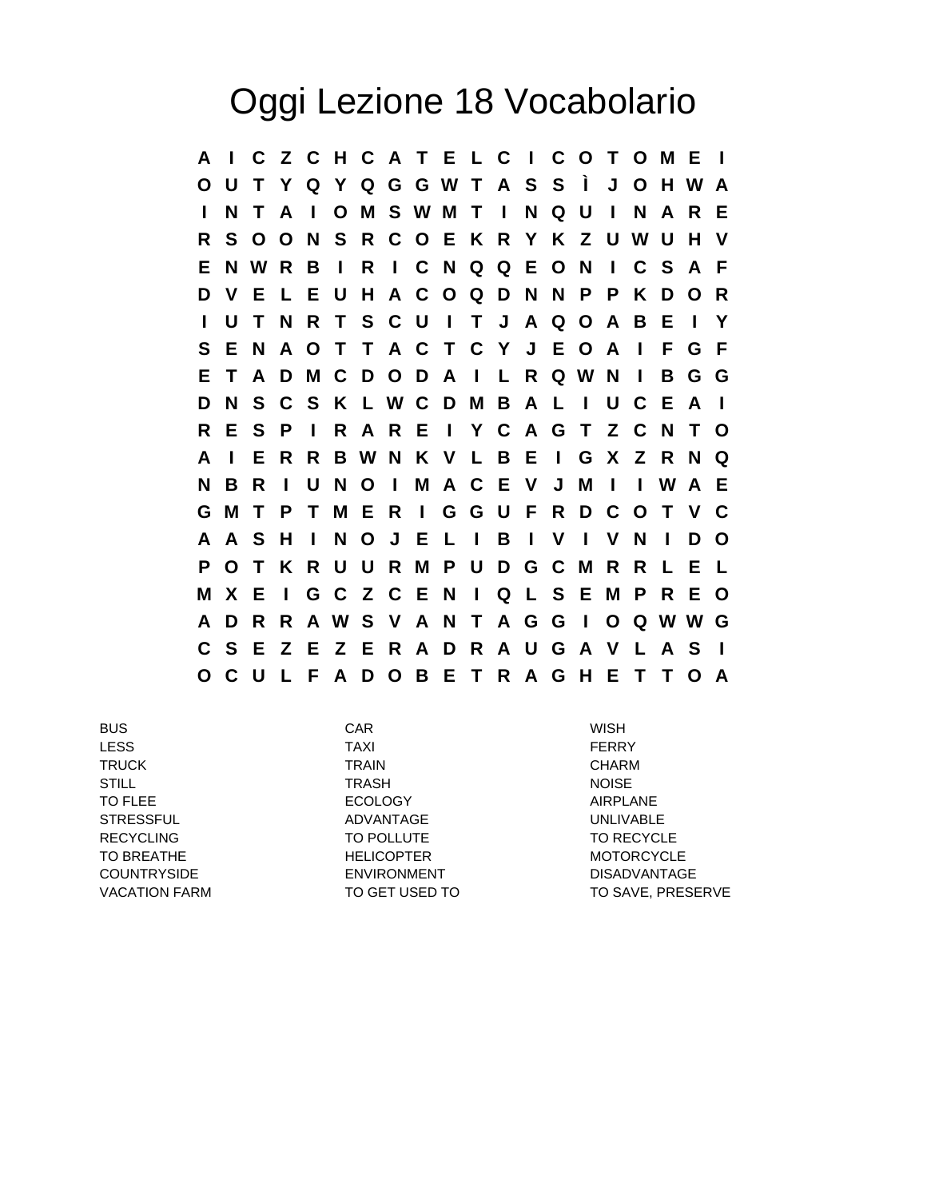## Oggi Lezione 18 Vocabolario

**A I C Z C H C A T E L C I C O T O M E I O U T Y Q Y Q G G W T A S S Ì J O H W A I N T A I O M S W M T I N Q U I N A R E R S O O N S R C O E K R Y K Z U W U H V E N W R B I R I C N Q Q E O N I C S A F D V E L E U H A C O Q D N N P P K D O R I U T N R T S C U I T J A Q O A B E I Y S E N A O T T A C T C Y J E O A I F G F E T A D M C D O D A I L R Q W N I B G G D N S C S K L W C D M B A L I U C E A I R E S P I R A R E I Y C A G T Z C N T O A I E R R B W N K V L B E I G X Z R N Q N B R I U N O I M A C E V J M I I W A E G M T P T M E R I G G U F R D C O T V C A A S H I N O J E L I B I V I V N I D O P O T K R U U R M P U D G C M R R L E L M X E I G C Z C E N I Q L S E M P R E O A D R R A W S V A N T A G G I O Q W W G C S E Z E Z E R A D R A U G A V L A S I O C U L F A D O B E T R A G H E T T O A**

BUS CAR WISH LESS TAXI FERRY TRUCK TRAIN CHARM STILL TRASH NOISE TO FLEE **EXAMPLE AIRPLANE** ECOLOGY **AIRPLANE** STRESSFUL ADVANTAGE UNLIVABLE RECYCLING TO POLLUTE TO POLLUTE TO RECYCLE TO BREATHE **HELICOPTER** MOTORCYCLE COUNTRYSIDE ENVIRONMENT DISADVANTAGE

VACATION FARM TO GET USED TO TO TO SAVE, PRESERVE